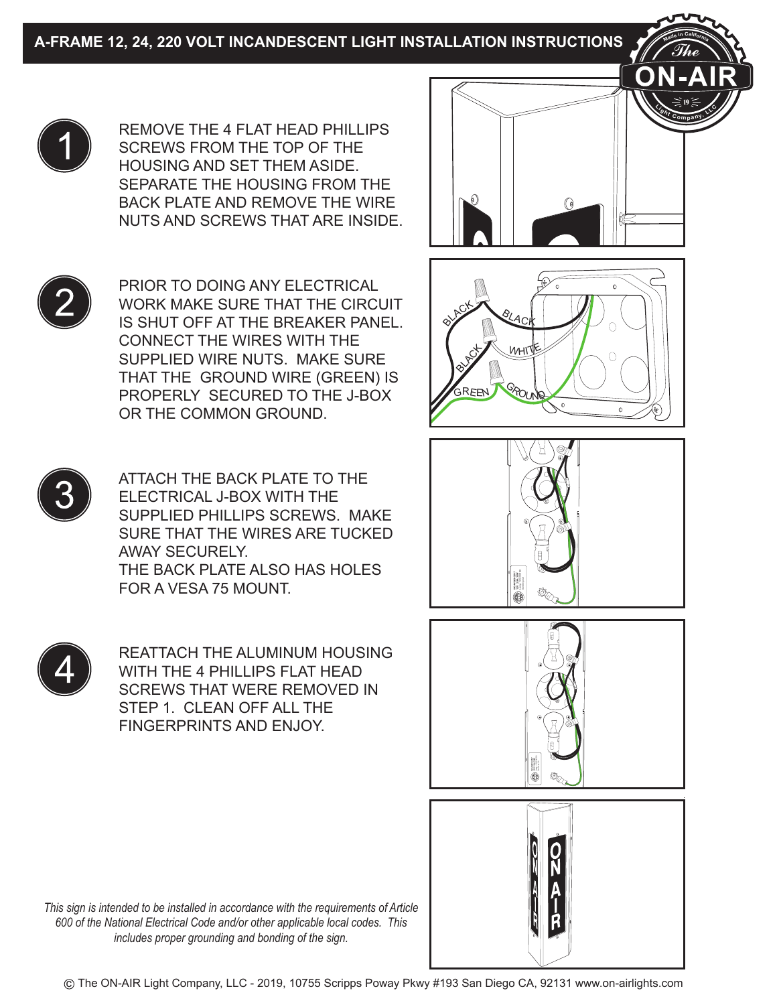



ATTACH THE BACK PLATE TO THE ELECTRICAL J-BOX WITH THE SUPPLIED PHILLIPS SCREWS. MAKE SURE THAT THE WIRES ARE TUCKED AWAY SECURELY. THE BACK PLATE ALSO HAS HOLES FOR A VESA 75 MOUNT.



REATTACH THE ALUMINUM HOUSING WITH THE 4 PHILLIPS FLAT HEAD SCREWS THAT WERE REMOVED IN STEP 1. CLEAN OFF ALL THE FINGERPRINTS AND ENJOY.



**<sup>M</sup>ad<sup>e</sup> <sup>i</sup><sup>n</sup> <sup>C</sup>aliforni<sup>a</sup>**

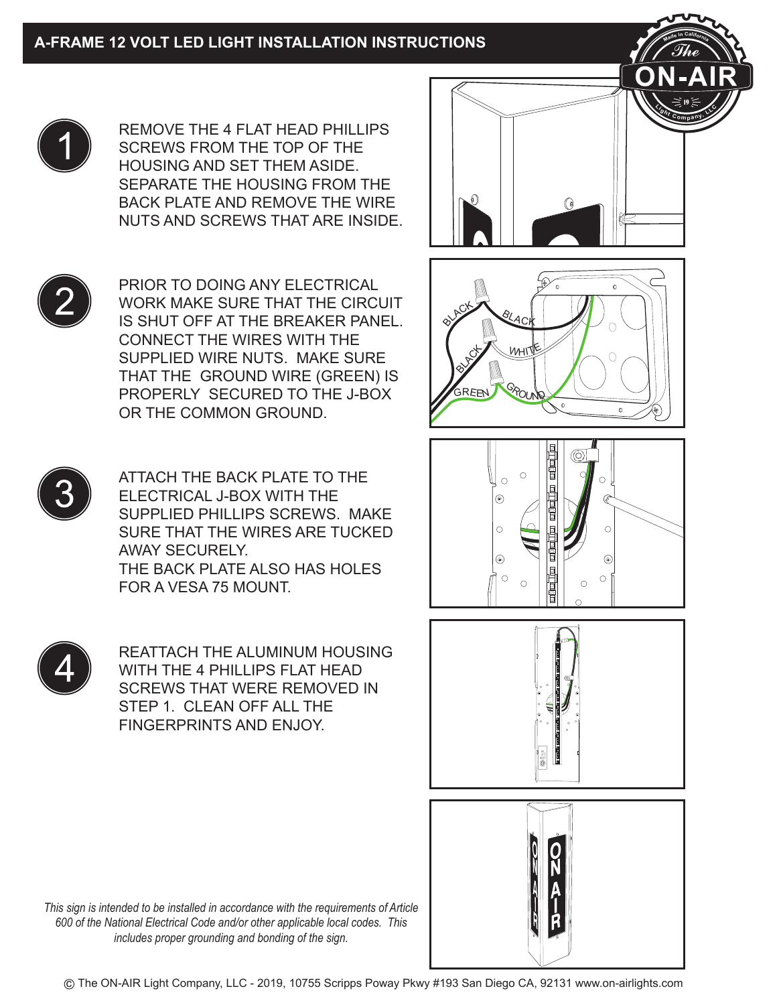



ATTACH THE BACK PLATE TO THE ELECTRICAL J-BOX WITH THE SUPPLIED PHILLIPS SCREWS. MAKE SURE THAT THE WIRES ARE TUCKED AWAY SECURELY. THE BACK PLATE ALSO HAS HOLES FOR A VESA 75 MOUNT.



REATTACH THE ALUMINUM HOUSING WITH THE 4 PHILLIPS FLAT HEAD SCREWS THAT WERE REMOVED IN STEP 1. CLEAN OFF ALL THE FINGERPRINTS AND ENJOY.

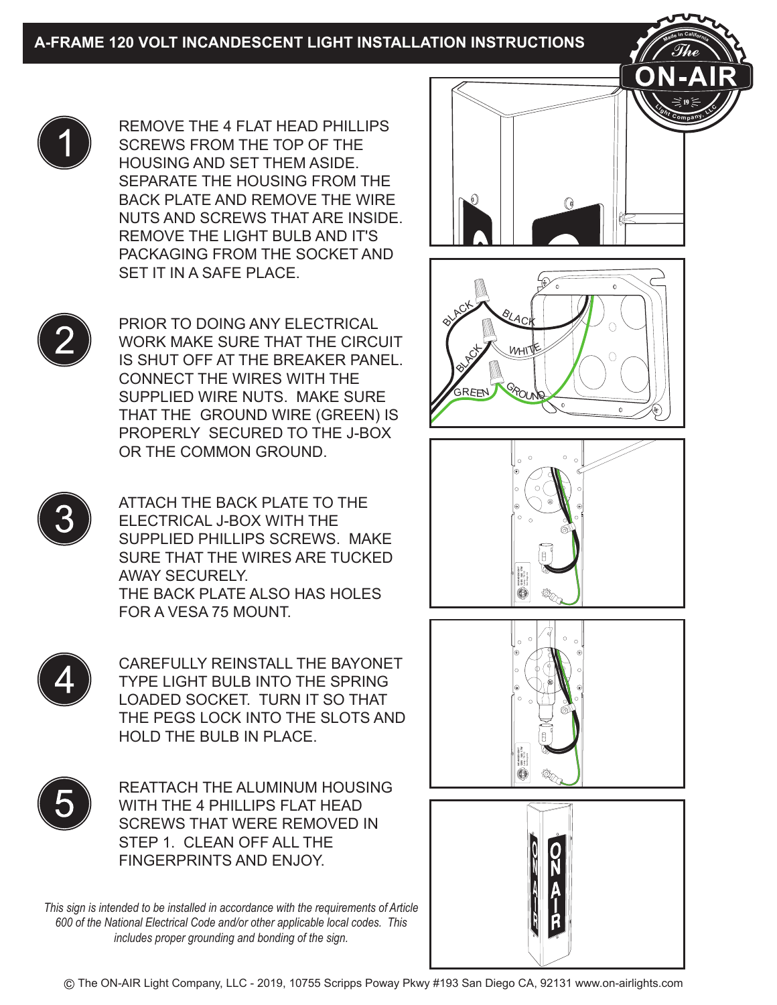

REMOVE THE 4 FLAT HEAD PHILLIPS SCREWS FROM THE TOP OF THE HOUSING AND SET THEM ASIDE. SEPARATE THE HOUSING FROM THE BACK PLATE AND REMOVE THE WIRE NUTS AND SCREWS THAT ARE INSIDE. REMOVE THE LIGHT BULB AND IT'S PACKAGING FROM THE SOCKET AND SET IT IN A SAFE PLACE.



PRIOR TO DOING ANY ELECTRICAL WORK MAKE SURE THAT THE CIRCUIT IS SHUT OFF AT THE BREAKER PANEL. CONNECT THE WIRES WITH THE SUPPLIED WIRE NUTS. MAKE SURE THAT THE GROUND WIRE (GREEN) IS PROPERLY SECURED TO THE J-BOX OR THE COMMON GROUND.



ATTACH THE BACK PLATE TO THE ELECTRICAL J-BOX WITH THE SUPPLIED PHILLIPS SCREWS. MAKE SURE THAT THE WIRES ARE TUCKED AWAY SECURELY. THE BACK PLATE ALSO HAS HOLES FOR A VESA 75 MOUNT.



CAREFULLY REINSTALL THE BAYONET TYPE LIGHT BULB INTO THE SPRING LOADED SOCKET. TURN IT SO THAT THE PEGS LOCK INTO THE SLOTS AND HOLD THE BULB IN PLACE.



REATTACH THE ALUMINUM HOUSING WITH THE 4 PHILLIPS FLAT HEAD SCREWS THAT WERE REMOVED IN STEP 1. CLEAN OFF ALL THE FINGERPRINTS AND ENJOY.

*This sign is intended to be installed in accordance with the requirements of Article 600 of the National Electrical Code and/or other applicable local codes. This includes proper grounding and bonding of the sign.*



c The ON-AIR Light Company, LLC - 2019, 10755 Scripps Poway Pkwy #193 San Diego CA, 92131 www.on-airlights.com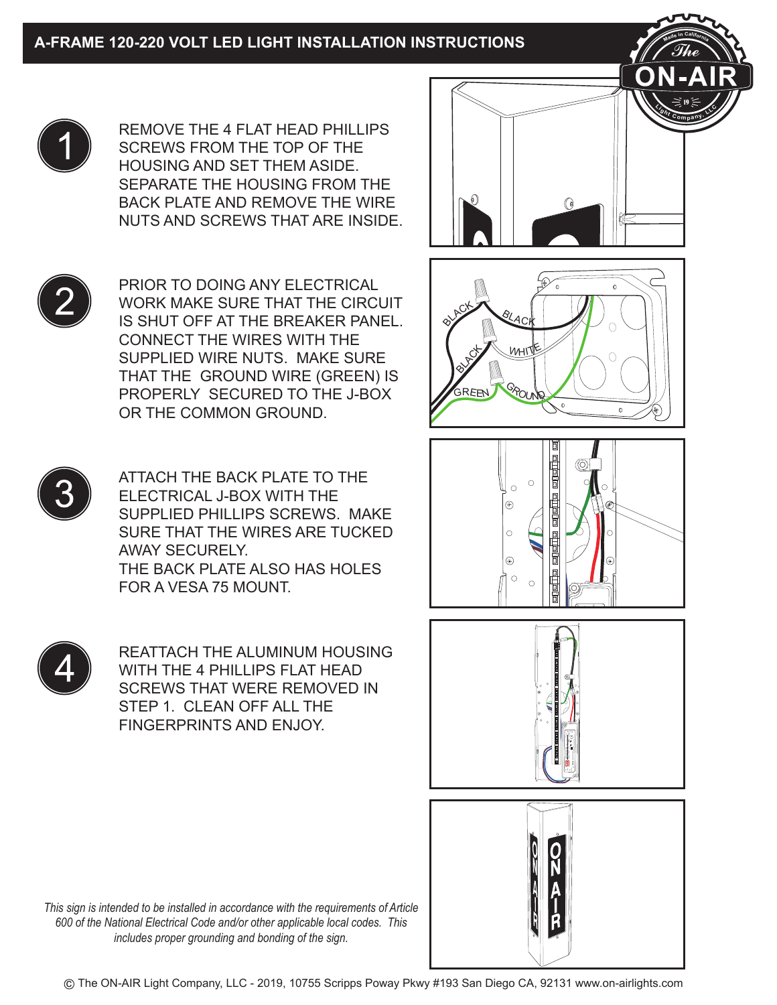REMOVE THE 4 FLAT HEAD PHILLIPS SCREWS FROM THE TOP OF THE HOUSING AND SET THEM ASIDE. SEPARATE THE HOUSING FROM THE BACK PLATE AND REMOVE THE WIRE NUTS AND SCREWS THAT ARE INSIDE.

PRIOR TO DOING ANY ELECTRICAL WORK MAKE SURE THAT THE CIRCUIT IS SHUT OFF AT THE BREAKER PANEL. CONNECT THE WIRES WITH THE SUPPLIED WIRE NUTS. MAKE SURE THAT THE GROUND WIRE (GREEN) IS PROPERLY SECURED TO THE J-BOX OR THE COMMON GROUND.



ATTACH THE BACK PLATE TO THE ELECTRICAL J-BOX WITH THE SUPPLIED PHILLIPS SCREWS. MAKE SURE THAT THE WIRES ARE TUCKED AWAY SECURELY. THE BACK PLATE ALSO HAS HOLES FOR A VESA 75 MOUNT.

REATTACH THE ALUMINUM HOUSING WITH THE 4 PHILLIPS FLAT HEAD SCREWS THAT WERE REMOVED IN STEP 1. CLEAN OFF ALL THE FINGERPRINTS AND ENJOY.

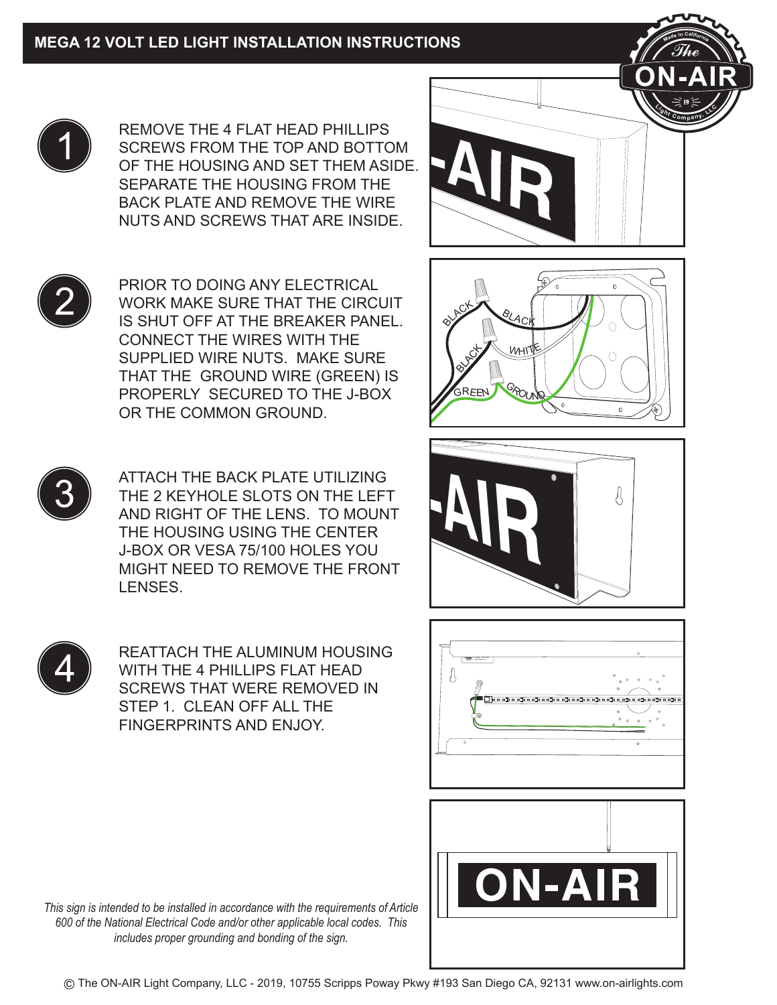

REMOVE THE 4 FLAT HEAD PHILLIPS SCREWS FROM THE TOP AND BOTTOM OF THE HOUSING AND SET THEM ASIDE. SEPARATE THE HOUSING FROM THE BACK PLATE AND REMOVE THE WIRE NUTS AND SCREWS THAT ARE INSIDE.

PRIOR TO DOING ANY ELECTRICAL WORK MAKE SURE THAT THE CIRCUIT IS SHUT OFF AT THE BREAKER PANEL. CONNECT THE WIRES WITH THE SUPPLIED WIRE NUTS. MAKE SURE THAT THE GROUND WIRE (GREEN) IS PROPERLY SECURED TO THE J-BOX OR THE COMMON GROUND.



ATTACH THE BACK PLATE UTILIZING THE 2 KEYHOLE SLOTS ON THE LEFT AND RIGHT OF THE LENS. TO MOUNT THE HOUSING USING THE CENTER J-BOX OR VESA 75/100 HOLES YOU MIGHT NEED TO REMOVE THE FRONT LENSES.

REATTACH THE ALUMINUM HOUSING WITH THE 4 PHILLIPS FLAT HEAD SCREWS THAT WERE REMOVED IN STEP 1. CLEAN OFF ALL THE FINGERPRINTS AND ENJOY.



**<sup>M</sup>ad<sup>e</sup> <sup>i</sup><sup>n</sup> <sup>C</sup>aliforni<sup>a</sup>**







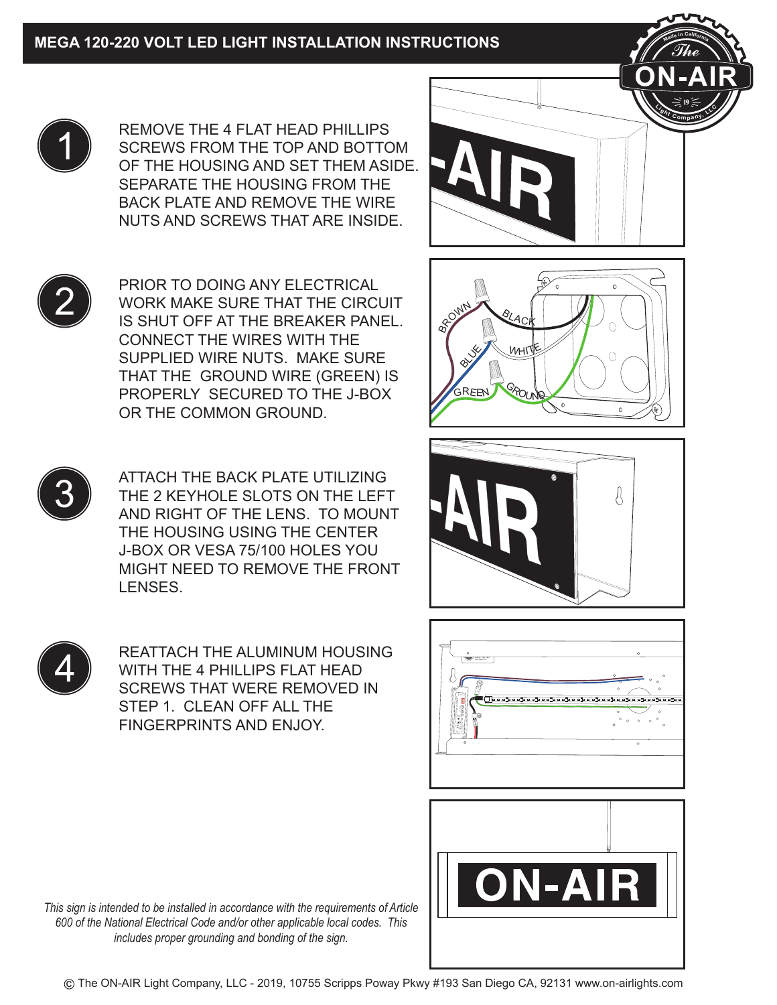

REMOVE THE 4 FLAT HEAD PHILLIPS SCREWS FROM THE TOP AND BOTTOM OF THE HOUSING AND SET THEM ASIDE. SEPARATE THE HOUSING FROM THE BACK PLATE AND REMOVE THE WIRE NUTS AND SCREWS THAT ARE INSIDE.

PRIOR TO DOING ANY ELECTRICAL WORK MAKE SURE THAT THE CIRCUIT IS SHUT OFF AT THE BREAKER PANEL. CONNECT THE WIRES WITH THE SUPPLIED WIRE NUTS. MAKE SURE THAT THE GROUND WIRE (GREEN) IS PROPERLY SECURED TO THE J-BOX OR THE COMMON GROUND.



ATTACH THE BACK PLATE UTILIZING THE 2 KEYHOLE SLOTS ON THE LEFT AND RIGHT OF THE LENS. TO MOUNT THE HOUSING USING THE CENTER J-BOX OR VESA 75/100 HOLES YOU MIGHT NEED TO REMOVE THE FRONT LENSES.

REATTACH THE ALUMINUM HOUSING WITH THE 4 PHILLIPS FLAT HEAD SCREWS THAT WERE REMOVED IN STEP 1. CLEAN OFF ALL THE FINGERPRINTS AND ENJOY.









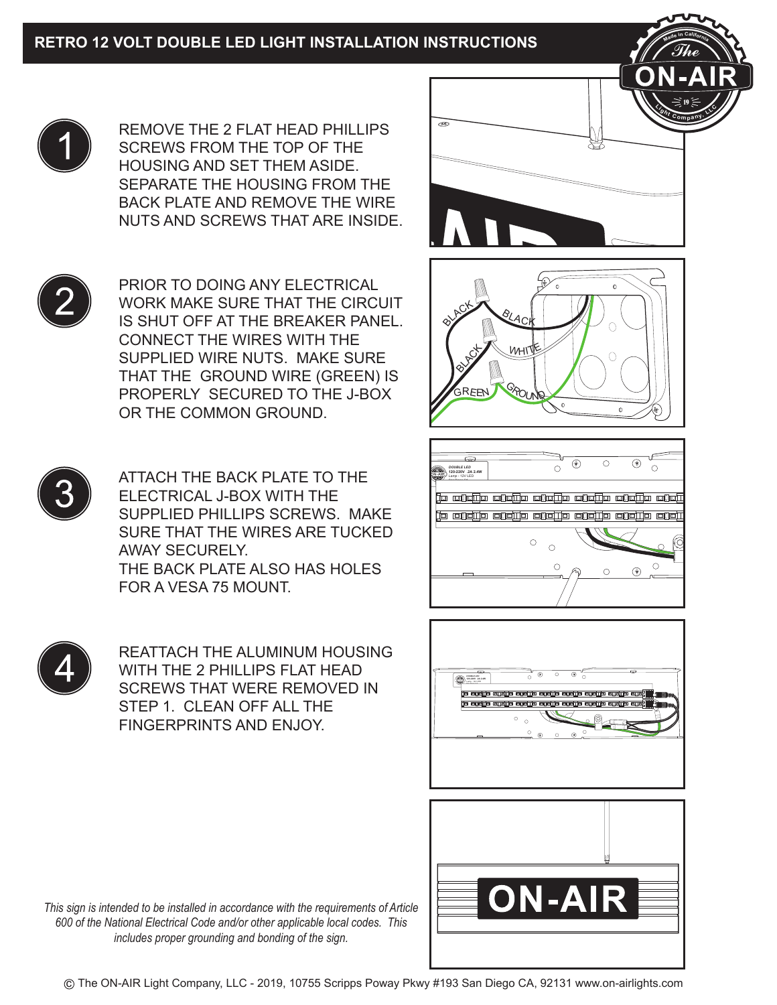

REMOVE THE 2 FLAT HEAD PHILLIPS SCREWS FROM THE TOP OF THE HOUSING AND SET THEM ASIDE. SEPARATE THE HOUSING FROM THE BACK PLATE AND REMOVE THE WIRE NUTS AND SCREWS THAT ARE INSIDE.



PRIOR TO DOING ANY ELECTRICAL WORK MAKE SURE THAT THE CIRCUIT IS SHUT OFF AT THE BREAKER PANEL. CONNECT THE WIRES WITH THE SUPPLIED WIRE NUTS. MAKE SURE THAT THE GROUND WIRE (GREEN) IS PROPERLY SECURED TO THE J-BOX OR THE COMMON GROUND.



ATTACH THE BACK PLATE TO THE ELECTRICAL J-BOX WITH THE SUPPLIED PHILLIPS SCREWS. MAKE SURE THAT THE WIRES ARE TUCKED AWAY SECURELY. THE BACK PLATE ALSO HAS HOLES FOR A VESA 75 MOUNT.



REATTACH THE ALUMINUM HOUSING WITH THE 2 PHILLIPS FLAT HEAD SCREWS THAT WERE REMOVED IN STEP 1. CLEAN OFF ALL THE FINGERPRINTS AND ENJOY.



**<sup>M</sup>ad<sup>e</sup> <sup>i</sup><sup>n</sup> <sup>C</sup>aliforni<sup>a</sup>**







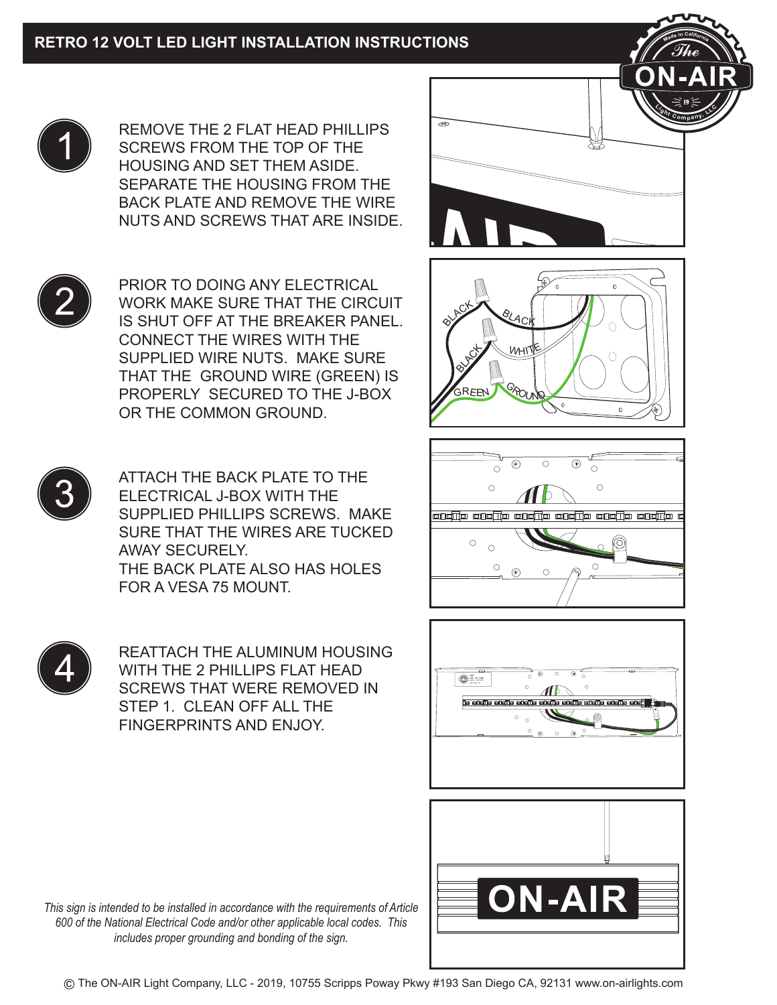

REMOVE THE 2 FLAT HEAD PHILLIPS SCREWS FROM THE TOP OF THE HOUSING AND SET THEM ASIDE. SEPARATE THE HOUSING FROM THE BACK PLATE AND REMOVE THE WIRE NUTS AND SCREWS THAT ARE INSIDE.



PRIOR TO DOING ANY ELECTRICAL WORK MAKE SURE THAT THE CIRCUIT IS SHUT OFF AT THE BREAKER PANEL. CONNECT THE WIRES WITH THE SUPPLIED WIRE NUTS. MAKE SURE THAT THE GROUND WIRE (GREEN) IS PROPERLY SECURED TO THE J-BOX OR THE COMMON GROUND.



ATTACH THE BACK PLATE TO THE ELECTRICAL J-BOX WITH THE SUPPLIED PHILLIPS SCREWS. MAKE SURE THAT THE WIRES ARE TUCKED AWAY SECURELY. THE BACK PLATE ALSO HAS HOLES FOR A VESA 75 MOUNT.



REATTACH THE ALUMINUM HOUSING WITH THE 2 PHILLIPS FLAT HEAD SCREWS THAT WERE REMOVED IN STEP 1. CLEAN OFF ALL THE FINGERPRINTS AND ENJOY.



**<sup>M</sup>ad<sup>e</sup> <sup>i</sup><sup>n</sup> <sup>C</sup>aliforni<sup>a</sup>**







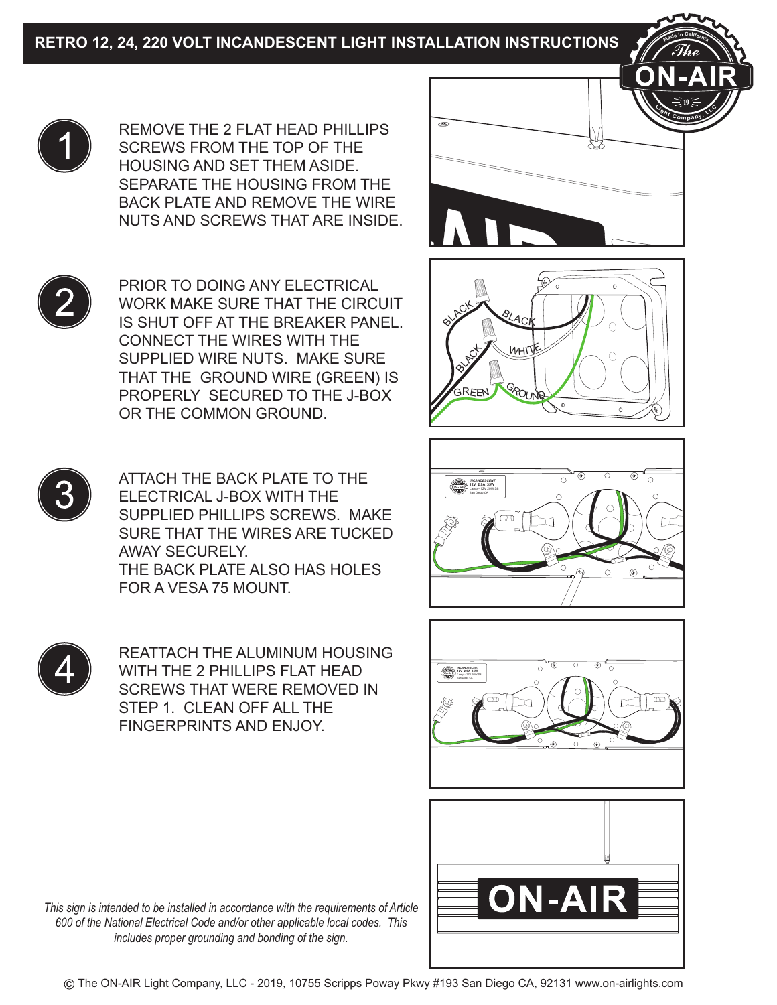



ATTACH THE BACK PLATE TO THE ELECTRICAL J-BOX WITH THE SUPPLIED PHILLIPS SCREWS. MAKE SURE THAT THE WIRES ARE TUCKED AWAY SECURELY. THE BACK PLATE ALSO HAS HOLES FOR A VESA 75 MOUNT.



REATTACH THE ALUMINUM HOUSING WITH THE 2 PHILLIPS FLAT HEAD SCREWS THAT WERE REMOVED IN STEP 1 CLEAN OFF ALL THE FINGERPRINTS AND ENJOY.



**<sup>M</sup>ad<sup>e</sup> <sup>i</sup><sup>n</sup> <sup>C</sup>aliforni<sup>a</sup>**







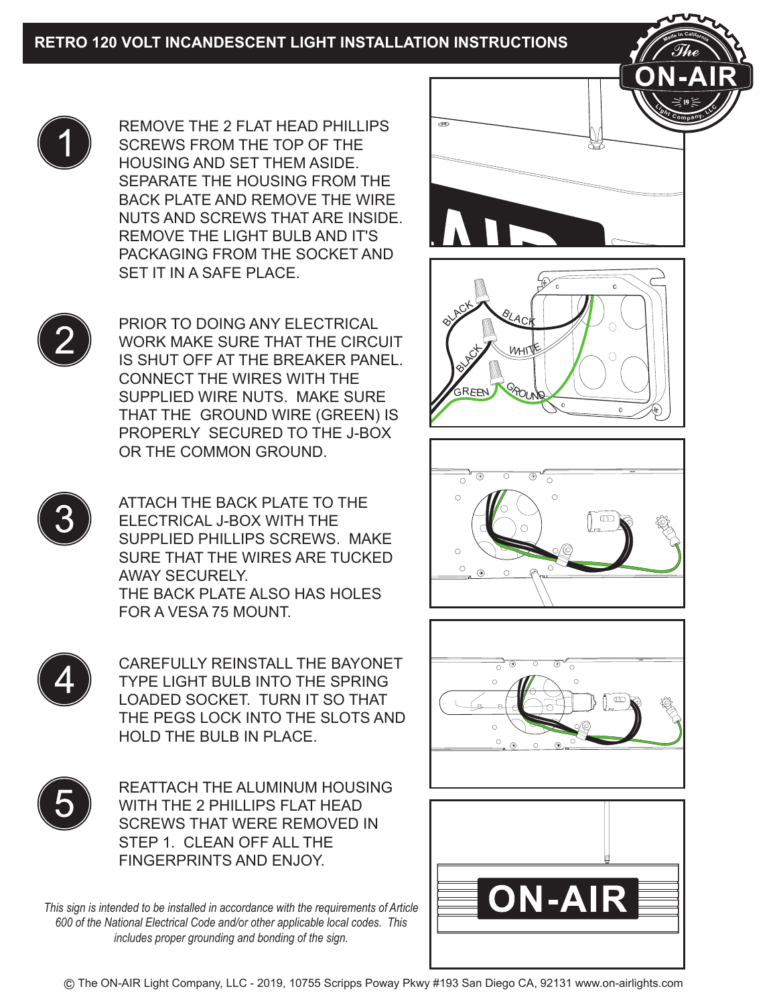

REMOVE THE 2 FLAT HEAD PHILLIPS SCREWS FROM THE TOP OF THE HOUSING AND SET THEM ASIDE. SEPARATE THE HOUSING FROM THE BACK PLATE AND REMOVE THE WIRE NUTS AND SCREWS THAT ARE INSIDE. REMOVE THE LIGHT BULB AND IT'S PACKAGING FROM THE SOCKET AND SET IT IN A SAFE PLACE.



PRIOR TO DOING ANY ELECTRICAL WORK MAKE SURE THAT THE CIRCUIT IS SHUT OFF AT THE BREAKER PANEL. CONNECT THE WIRES WITH THE SUPPLIED WIRE NUTS. MAKE SURE THAT THE GROUND WIRE (GREEN) IS PROPERLY SECURED TO THE J-BOX OR THE COMMON GROUND.



ATTACH THE BACK PLATE TO THE ELECTRICAL J-BOX WITH THE SUPPLIED PHILLIPS SCREWS. MAKE SURE THAT THE WIRES ARE TUCKED AWAY SECURELY. THE BACK PLATE ALSO HAS HOLES FOR A VESA 75 MOUNT.



CAREFULLY REINSTALL THE BAYONET TYPE LIGHT BULB INTO THE SPRING LOADED SOCKET. TURN IT SO THAT THE PEGS LOCK INTO THE SLOTS AND HOLD THE BULB IN PLACE.



REATTACH THE ALUMINUM HOUSING WITH THE 2 PHILLIPS FLAT HEAD SCREWS THAT WERE REMOVED IN STEP 1. CLEAN OFF ALL THE FINGERPRINTS AND ENJOY.

*This sign is intended to be installed in accordance with the requirements of Article 600 of the National Electrical Code and/or other applicable local codes. This includes proper grounding and bonding of the sign.*



**<sup>M</sup>ad<sup>e</sup> <sup>i</sup><sup>n</sup> <sup>C</sup>aliforni<sup>a</sup>**







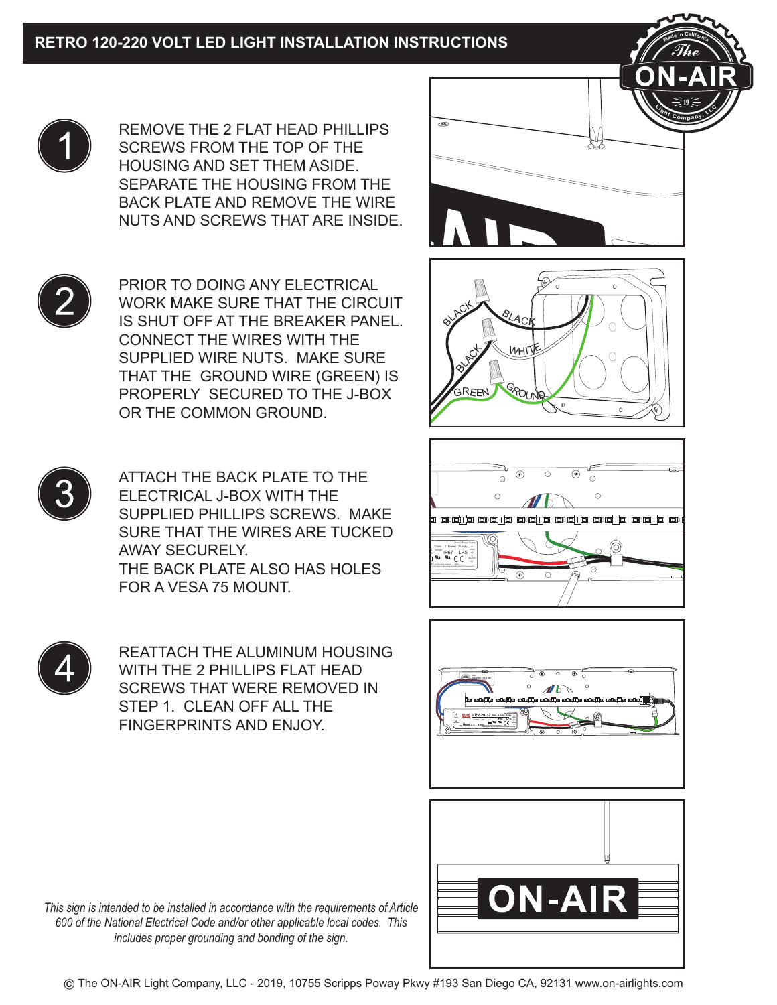

REMOVE THE 2 FLAT HEAD PHILLIPS SCREWS FROM THE TOP OF THE HOUSING AND SET THEM ASIDE. SEPARATE THE HOUSING FROM THE BACK PLATE AND REMOVE THE WIRE NUTS AND SCREWS THAT ARE INSIDE.

PRIOR TO DOING ANY ELECTRICAL WORK MAKE SURE THAT THE CIRCUIT IS SHUT OFF AT THE BREAKER PANEL. CONNECT THE WIRES WITH THE SUPPLIED WIRE NUTS. MAKE SURE THAT THE GROUND WIRE (GREEN) IS PROPERLY SECURED TO THE J-BOX OR THE COMMON GROUND.



ATTACH THE BACK PLATE TO THE ELECTRICAL J-BOX WITH THE SUPPLIED PHILLIPS SCREWS. MAKE SURE THAT THE WIRES ARE TUCKED AWAY SECURELY. THE BACK PLATE ALSO HAS HOLES FOR A VESA 75 MOUNT.



REATTACH THE ALUMINUM HOUSING WITH THE 2 PHILLIPS FLAT HEAD SCREWS THAT WERE REMOVED IN STEP 1. CLEAN OFF ALL THE FINGERPRINTS AND ENJOY.



**<sup>M</sup>ad<sup>e</sup> <sup>i</sup><sup>n</sup> <sup>C</sup>aliforni<sup>a</sup>**







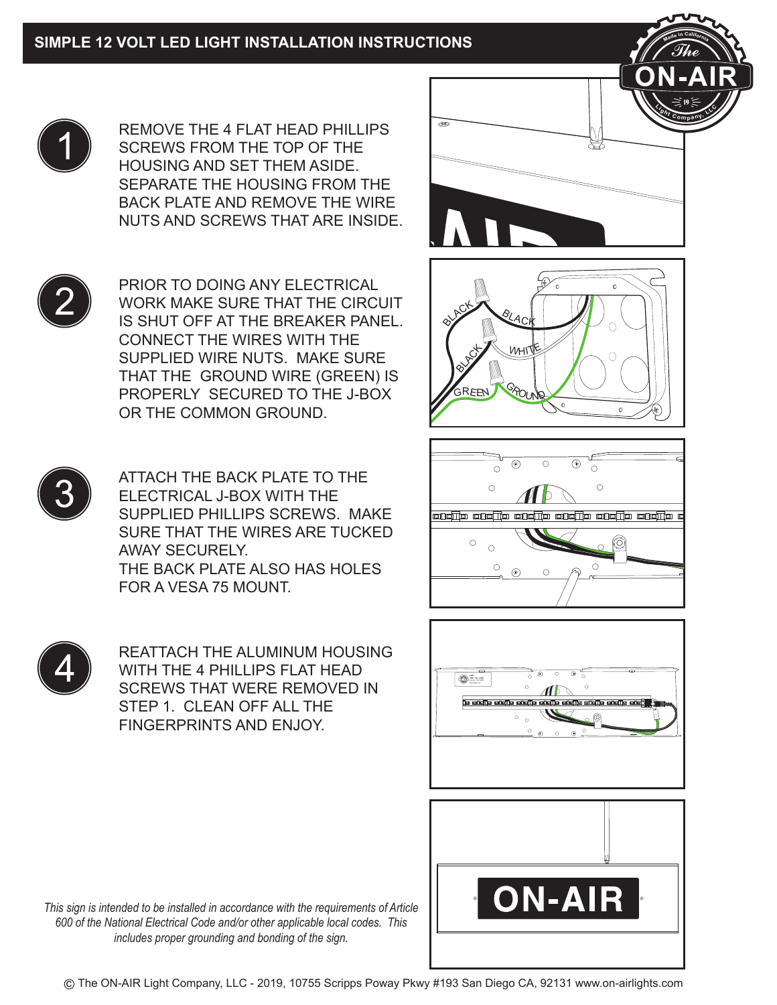

REMOVE THE 4 FLAT HEAD PHILLIPS SCREWS FROM THE TOP OF THE HOUSING AND SET THEM ASIDE. SEPARATE THE HOUSING FROM THE BACK PLATE AND REMOVE THE WIRE NUTS AND SCREWS THAT ARE INSIDE.



PRIOR TO DOING ANY ELECTRICAL WORK MAKE SURE THAT THE CIRCUIT IS SHUT OFF AT THE BREAKER PANEL. CONNECT THE WIRES WITH THE SUPPLIED WIRE NUTS. MAKE SURE THAT THE GROUND WIRE (GREEN) IS PROPERLY SECURED TO THE J-BOX OR THE COMMON GROUND.



ATTACH THE BACK PLATE TO THE ELECTRICAL J-BOX WITH THE SUPPLIED PHILLIPS SCREWS. MAKE SURE THAT THE WIRES ARE TUCKED AWAY SECURELY. THE BACK PLATE ALSO HAS HOLES FOR A VESA 75 MOUNT.



REATTACH THE ALUMINUM HOUSING WITH THE 4 PHILLIPS FLAT HEAD SCREWS THAT WERE REMOVED IN STEP 1. CLEAN OFF ALL THE FINGERPRINTS AND ENJOY.



**<sup>M</sup>ad<sup>e</sup> <sup>i</sup><sup>n</sup> <sup>C</sup>aliforni<sup>a</sup>**







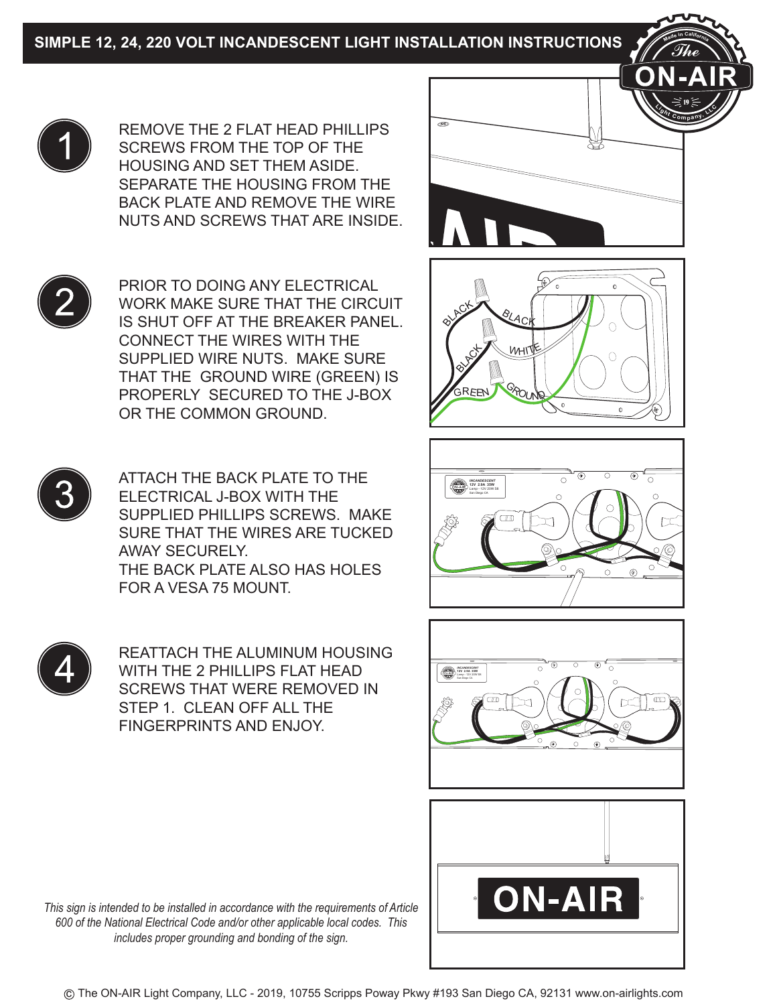



ATTACH THE BACK PLATE TO THE ELECTRICAL J-BOX WITH THE SUPPLIED PHILLIPS SCREWS. MAKE SURE THAT THE WIRES ARE TUCKED AWAY SECURELY. THE BACK PLATE ALSO HAS HOLES FOR A VESA 75 MOUNT.



REATTACH THE ALUMINUM HOUSING WITH THE 2 PHILLIPS FLAT HEAD SCREWS THAT WERE REMOVED IN STEP 1. CLEAN OFF ALL THE FINGERPRINTS AND ENJOY.



**<sup>M</sup>ad<sup>e</sup> <sup>i</sup><sup>n</sup> <sup>C</sup>aliforni<sup>a</sup>**







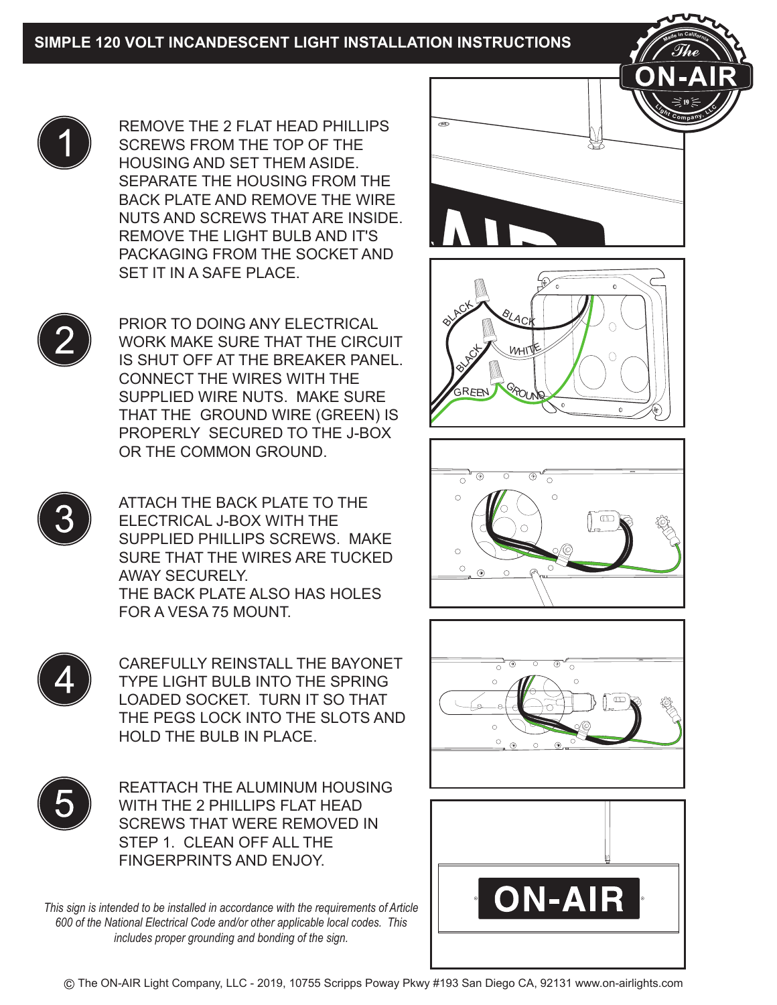

REMOVE THE 2 FLAT HEAD PHILLIPS SCREWS FROM THE TOP OF THE HOUSING AND SET THEM ASIDE. SEPARATE THE HOUSING FROM THE BACK PLATE AND REMOVE THE WIRE NUTS AND SCREWS THAT ARE INSIDE. REMOVE THE LIGHT BULB AND IT'S PACKAGING FROM THE SOCKET AND SET IT IN A SAFE PLACE.



PRIOR TO DOING ANY ELECTRICAL WORK MAKE SURE THAT THE CIRCUIT IS SHUT OFF AT THE BREAKER PANEL. CONNECT THE WIRES WITH THE SUPPLIED WIRE NUTS. MAKE SURE THAT THE GROUND WIRE (GREEN) IS PROPERLY SECURED TO THE J-BOX OR THE COMMON GROUND.



ATTACH THE BACK PLATE TO THE ELECTRICAL J-BOX WITH THE SUPPLIED PHILLIPS SCREWS. MAKE SURE THAT THE WIRES ARE TUCKED AWAY SECURELY. THE BACK PLATE ALSO HAS HOLES FOR A VESA 75 MOUNT.



CAREFULLY REINSTALL THE BAYONET TYPE LIGHT BULB INTO THE SPRING LOADED SOCKET. TURN IT SO THAT THE PEGS LOCK INTO THE SLOTS AND HOLD THE BULB IN PLACE.



REATTACH THE ALUMINUM HOUSING WITH THE 2 PHILLIPS FLAT HEAD SCREWS THAT WERE REMOVED IN STEP 1. CLEAN OFF ALL THE FINGERPRINTS AND ENJOY.

*This sign is intended to be installed in accordance with the requirements of Article 600 of the National Electrical Code and/or other applicable local codes. This includes proper grounding and bonding of the sign.*



**<sup>M</sup>ad<sup>e</sup> <sup>i</sup><sup>n</sup> <sup>C</sup>aliforni<sup>a</sup>**